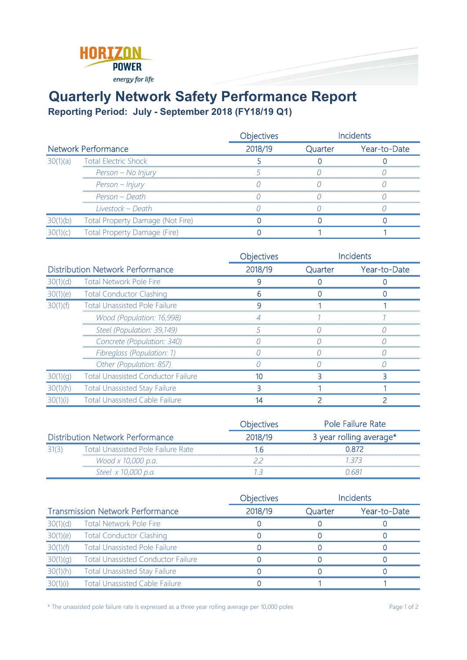

## **Quarterly Network Safety Performance Report**

**Reporting Period: July - September 2018 (FY18/19 Q1)**

|                            |                                  | <b>Objectives</b> |         | <i>cidents</i> |
|----------------------------|----------------------------------|-------------------|---------|----------------|
| <b>Network Performance</b> |                                  | 2018/19           | Quarter | Year-to-Date   |
| 30(1)(a)                   | <b>Total Electric Shock</b>      |                   |         |                |
|                            | Person - No Injury               |                   |         |                |
|                            | Person - Injury                  |                   |         |                |
|                            | Person – Death                   |                   |         |                |
|                            | Livestock – Death                |                   |         |                |
|                            | Total Property Damage (Not Fire) |                   |         |                |
|                            | Total Property Damage (Fire)     |                   |         |                |

|                                         |                                                    | Objectives |         | <b>Incidents</b> |
|-----------------------------------------|----------------------------------------------------|------------|---------|------------------|
| <b>Distribution Network Performance</b> |                                                    | 2018/19    | Quarter | Year-to-Date     |
| 30(1)(d)                                | <b>Total Network Pole Fire</b>                     |            |         |                  |
| 30(1)(e)                                | <b>Total Conductor Clashing</b>                    |            |         |                  |
| 30(1)(f)                                | <b>Total Unassisted Pole Failure</b>               |            |         |                  |
|                                         | Wood (Population: 16,998)                          |            |         |                  |
|                                         | Steel (Population: 39,149)<br>,,,,,,,,,,,,,,,,,,,, |            |         |                  |
|                                         | Concrete (Population: 340)                         |            |         |                  |
|                                         | Fibreglass (Population: 1)                         |            |         |                  |
|                                         | Other (Population: 857)                            |            |         |                  |
|                                         | <b>Total Unassisted Conductor Failure</b>          |            |         |                  |
|                                         | <b>Total Unassisted Stay Failure</b>               |            |         |                  |
|                                         | <b>Total Unassisted Cable Failure</b>              |            |         |                  |

|                                         |                                           | <b>Objectives</b> | Pole Failure Rate       |
|-----------------------------------------|-------------------------------------------|-------------------|-------------------------|
| <b>Distribution Network Performance</b> |                                           | 2018/19           | 3 year rolling average* |
| 31(3)                                   | <b>Total Unassisted Pole Failure Rate</b> |                   | N 872                   |
|                                         | Wood x 10,000 p.a.                        |                   | 1 373                   |
|                                         | Steel x 10,000 p.a.                       |                   | , 681 -                 |

|                                         |                                           | <b>Objectives</b> |         | <b>Incidents</b> |
|-----------------------------------------|-------------------------------------------|-------------------|---------|------------------|
| <b>Transmission Network Performance</b> |                                           | 2018/19           | Quarter | Year-to-Date     |
| 30(1)(d)                                | <b>Total Network Pole Fire</b>            |                   |         |                  |
| 30(1)(e)                                | <b>Total Conductor Clashing</b>           |                   |         |                  |
| 30(1)(f)                                | <b>Total Unassisted Pole Failure</b>      |                   |         |                  |
| 30(1)(g)                                | <b>Total Unassisted Conductor Failure</b> |                   |         |                  |
| 30(1)(h)                                | <b>Total Unassisted Stay Failure</b>      |                   |         |                  |
| 30(1)(i)                                | <b>Total Unassisted Cable Failure</b>     |                   |         |                  |

\* The unassisted pole failure rate is expressed as a three year rolling average per 10,000 poles Page 1 of 2